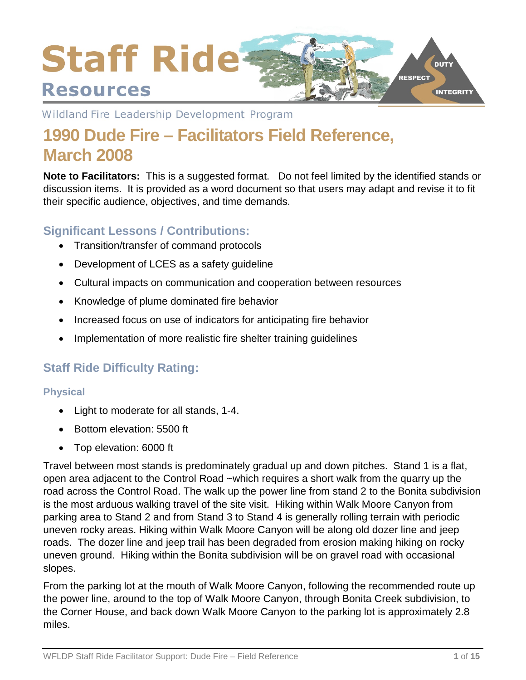

Wildland Fire Leadership Development Program

# **1990 Dude Fire – Facilitators Field Reference, March 2008**

**Note to Facilitators:** This is a suggested format. Do not feel limited by the identified stands or discussion items. It is provided as a word document so that users may adapt and revise it to fit their specific audience, objectives, and time demands.

# **Significant Lessons / Contributions:**

- Transition/transfer of command protocols
- Development of LCES as a safety guideline
- Cultural impacts on communication and cooperation between resources
- Knowledge of plume dominated fire behavior
- Increased focus on use of indicators for anticipating fire behavior
- Implementation of more realistic fire shelter training guidelines

# **Staff Ride Difficulty Rating:**

## **Physical**

- Light to moderate for all stands, 1-4.
- Bottom elevation: 5500 ft
- Top elevation: 6000 ft

Travel between most stands is predominately gradual up and down pitches. Stand 1 is a flat, open area adjacent to the Control Road ~which requires a short walk from the quarry up the road across the Control Road. The walk up the power line from stand 2 to the Bonita subdivision is the most arduous walking travel of the site visit. Hiking within Walk Moore Canyon from parking area to Stand 2 and from Stand 3 to Stand 4 is generally rolling terrain with periodic uneven rocky areas. Hiking within Walk Moore Canyon will be along old dozer line and jeep roads. The dozer line and jeep trail has been degraded from erosion making hiking on rocky uneven ground. Hiking within the Bonita subdivision will be on gravel road with occasional slopes.

From the parking lot at the mouth of Walk Moore Canyon, following the recommended route up the power line, around to the top of Walk Moore Canyon, through Bonita Creek subdivision, to the Corner House, and back down Walk Moore Canyon to the parking lot is approximately 2.8 miles.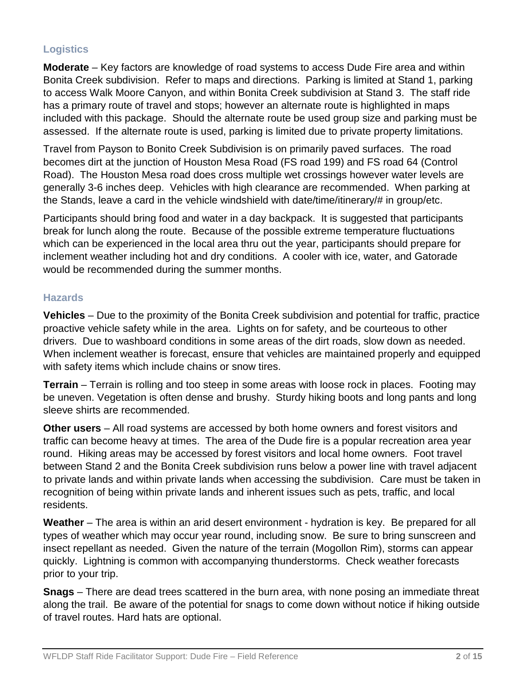# **Logistics**

**Moderate** – Key factors are knowledge of road systems to access Dude Fire area and within Bonita Creek subdivision. Refer to maps and directions. Parking is limited at Stand 1, parking to access Walk Moore Canyon, and within Bonita Creek subdivision at Stand 3. The staff ride has a primary route of travel and stops; however an alternate route is highlighted in maps included with this package. Should the alternate route be used group size and parking must be assessed. If the alternate route is used, parking is limited due to private property limitations.

Travel from Payson to Bonito Creek Subdivision is on primarily paved surfaces. The road becomes dirt at the junction of Houston Mesa Road (FS road 199) and FS road 64 (Control Road). The Houston Mesa road does cross multiple wet crossings however water levels are generally 3-6 inches deep. Vehicles with high clearance are recommended. When parking at the Stands, leave a card in the vehicle windshield with date/time/itinerary/# in group/etc.

Participants should bring food and water in a day backpack. It is suggested that participants break for lunch along the route. Because of the possible extreme temperature fluctuations which can be experienced in the local area thru out the year, participants should prepare for inclement weather including hot and dry conditions. A cooler with ice, water, and Gatorade would be recommended during the summer months.

#### **Hazards**

**Vehicles** – Due to the proximity of the Bonita Creek subdivision and potential for traffic, practice proactive vehicle safety while in the area. Lights on for safety, and be courteous to other drivers. Due to washboard conditions in some areas of the dirt roads, slow down as needed. When inclement weather is forecast, ensure that vehicles are maintained properly and equipped with safety items which include chains or snow tires.

**Terrain** – Terrain is rolling and too steep in some areas with loose rock in places. Footing may be uneven. Vegetation is often dense and brushy. Sturdy hiking boots and long pants and long sleeve shirts are recommended.

**Other users** – All road systems are accessed by both home owners and forest visitors and traffic can become heavy at times. The area of the Dude fire is a popular recreation area year round. Hiking areas may be accessed by forest visitors and local home owners. Foot travel between Stand 2 and the Bonita Creek subdivision runs below a power line with travel adjacent to private lands and within private lands when accessing the subdivision. Care must be taken in recognition of being within private lands and inherent issues such as pets, traffic, and local residents.

**Weather** – The area is within an arid desert environment - hydration is key. Be prepared for all types of weather which may occur year round, including snow. Be sure to bring sunscreen and insect repellant as needed. Given the nature of the terrain (Mogollon Rim), storms can appear quickly. Lightning is common with accompanying thunderstorms. Check weather forecasts prior to your trip.

**Snags** – There are dead trees scattered in the burn area, with none posing an immediate threat along the trail. Be aware of the potential for snags to come down without notice if hiking outside of travel routes. Hard hats are optional.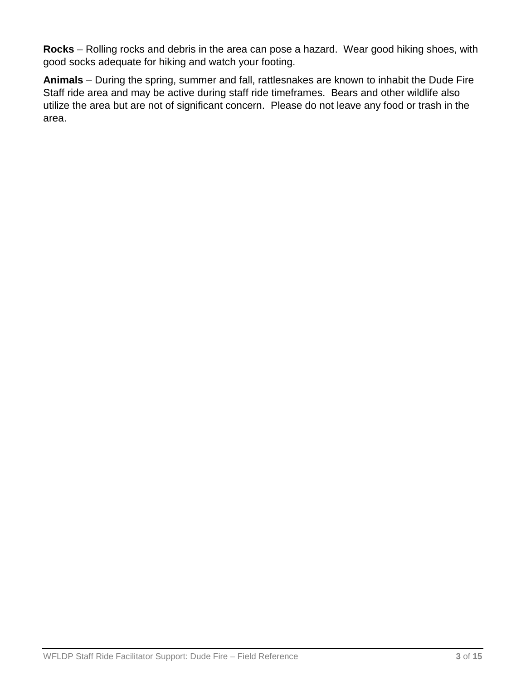**Rocks** – Rolling rocks and debris in the area can pose a hazard. Wear good hiking shoes, with good socks adequate for hiking and watch your footing.

**Animals** – During the spring, summer and fall, rattlesnakes are known to inhabit the Dude Fire Staff ride area and may be active during staff ride timeframes. Bears and other wildlife also utilize the area but are not of significant concern. Please do not leave any food or trash in the area.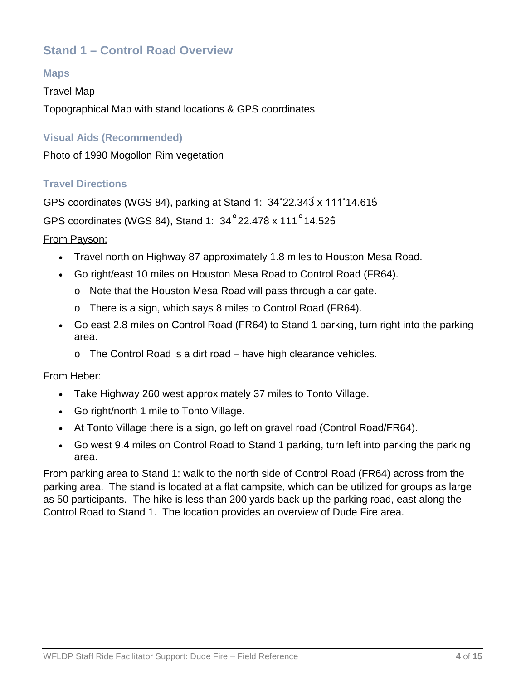# **Stand 1 – Control Road Overview**

#### **Maps**

#### Travel Map

Topographical Map with stand locations & GPS coordinates

#### **Visual Aids (Recommended)**

Photo of 1990 Mogollon Rim vegetation

#### **Travel Directions**

GPS coordinates (WGS 84), parking at Stand 1: 34˚22.343́x 111˚14.615́

GPS coordinates (WGS 84), Stand 1: 34˚22.478́x 111˚14.525́

#### From Payson:

- Travel north on Highway 87 approximately 1.8 miles to Houston Mesa Road.
- Go right/east 10 miles on Houston Mesa Road to Control Road (FR64).
	- o Note that the Houston Mesa Road will pass through a car gate.
	- o There is a sign, which says 8 miles to Control Road (FR64).
- Go east 2.8 miles on Control Road (FR64) to Stand 1 parking, turn right into the parking area.
	- o The Control Road is a dirt road have high clearance vehicles.

#### From Heber:

- Take Highway 260 west approximately 37 miles to Tonto Village.
- Go right/north 1 mile to Tonto Village.
- At Tonto Village there is a sign, go left on gravel road (Control Road/FR64).
- Go west 9.4 miles on Control Road to Stand 1 parking, turn left into parking the parking area.

From parking area to Stand 1: walk to the north side of Control Road (FR64) across from the parking area. The stand is located at a flat campsite, which can be utilized for groups as large as 50 participants. The hike is less than 200 yards back up the parking road, east along the Control Road to Stand 1. The location provides an overview of Dude Fire area.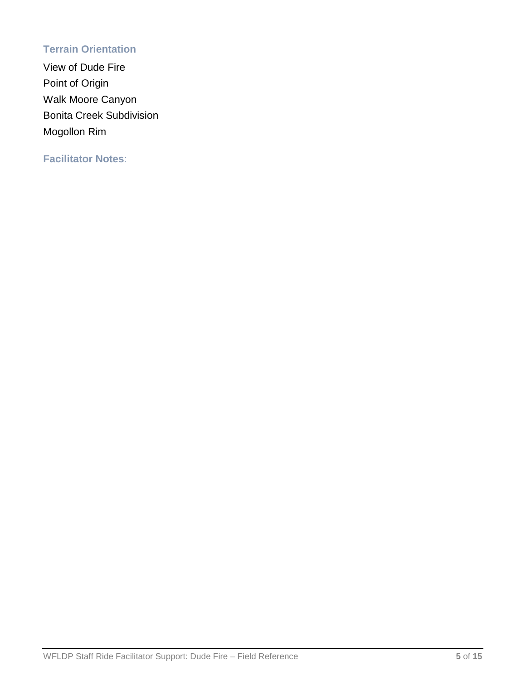# **Terrain Orientation**

View of Dude Fire Point of Origin Walk Moore Canyon Bonita Creek Subdivision Mogollon Rim

**Facilitator Notes**: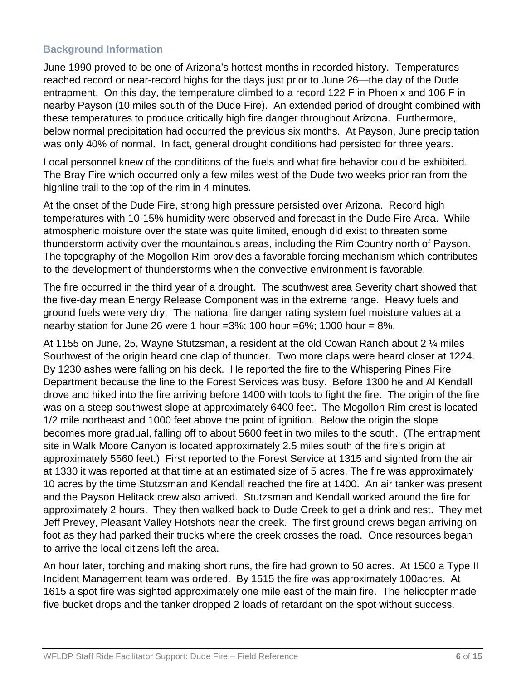## **Background Information**

June 1990 proved to be one of Arizona's hottest months in recorded history. Temperatures reached record or near-record highs for the days just prior to June 26—the day of the Dude entrapment. On this day, the temperature climbed to a record 122 F in Phoenix and 106 F in nearby Payson (10 miles south of the Dude Fire). An extended period of drought combined with these temperatures to produce critically high fire danger throughout Arizona. Furthermore, below normal precipitation had occurred the previous six months. At Payson, June precipitation was only 40% of normal. In fact, general drought conditions had persisted for three years.

Local personnel knew of the conditions of the fuels and what fire behavior could be exhibited. The Bray Fire which occurred only a few miles west of the Dude two weeks prior ran from the highline trail to the top of the rim in 4 minutes.

At the onset of the Dude Fire, strong high pressure persisted over Arizona. Record high temperatures with 10-15% humidity were observed and forecast in the Dude Fire Area. While atmospheric moisture over the state was quite limited, enough did exist to threaten some thunderstorm activity over the mountainous areas, including the Rim Country north of Payson. The topography of the Mogollon Rim provides a favorable forcing mechanism which contributes to the development of thunderstorms when the convective environment is favorable.

The fire occurred in the third year of a drought. The southwest area Severity chart showed that the five-day mean Energy Release Component was in the extreme range. Heavy fuels and ground fuels were very dry. The national fire danger rating system fuel moisture values at a nearby station for June 26 were 1 hour =3%; 100 hour =6%; 1000 hour =  $8\%$ .

At 1155 on June, 25, Wayne Stutzsman, a resident at the old Cowan Ranch about 2 ¼ miles Southwest of the origin heard one clap of thunder. Two more claps were heard closer at 1224. By 1230 ashes were falling on his deck. He reported the fire to the Whispering Pines Fire Department because the line to the Forest Services was busy. Before 1300 he and Al Kendall drove and hiked into the fire arriving before 1400 with tools to fight the fire. The origin of the fire was on a steep southwest slope at approximately 6400 feet. The Mogollon Rim crest is located 1/2 mile northeast and 1000 feet above the point of ignition. Below the origin the slope becomes more gradual, falling off to about 5600 feet in two miles to the south. (The entrapment site in Walk Moore Canyon is located approximately 2.5 miles south of the fire's origin at approximately 5560 feet.) First reported to the Forest Service at 1315 and sighted from the air at 1330 it was reported at that time at an estimated size of 5 acres. The fire was approximately 10 acres by the time Stutzsman and Kendall reached the fire at 1400. An air tanker was present and the Payson Helitack crew also arrived. Stutzsman and Kendall worked around the fire for approximately 2 hours. They then walked back to Dude Creek to get a drink and rest. They met Jeff Prevey, Pleasant Valley Hotshots near the creek. The first ground crews began arriving on foot as they had parked their trucks where the creek crosses the road. Once resources began to arrive the local citizens left the area.

An hour later, torching and making short runs, the fire had grown to 50 acres. At 1500 a Type II Incident Management team was ordered. By 1515 the fire was approximately 100acres. At 1615 a spot fire was sighted approximately one mile east of the main fire. The helicopter made five bucket drops and the tanker dropped 2 loads of retardant on the spot without success.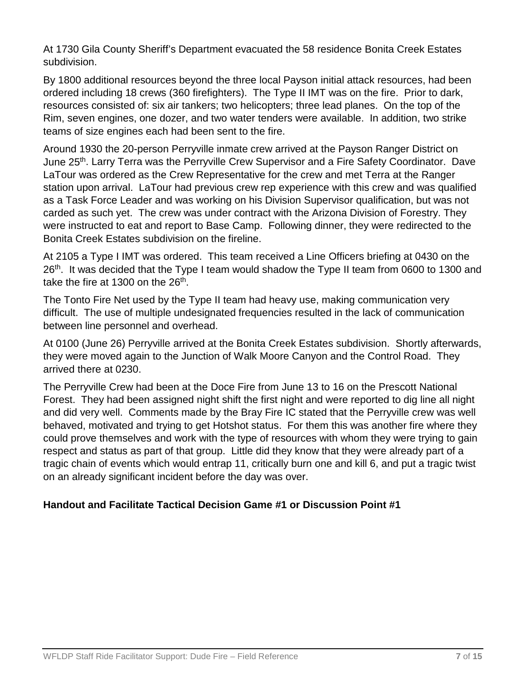At 1730 Gila County Sheriff's Department evacuated the 58 residence Bonita Creek Estates subdivision.

By 1800 additional resources beyond the three local Payson initial attack resources, had been ordered including 18 crews (360 firefighters). The Type II IMT was on the fire. Prior to dark, resources consisted of: six air tankers; two helicopters; three lead planes. On the top of the Rim, seven engines, one dozer, and two water tenders were available. In addition, two strike teams of size engines each had been sent to the fire.

Around 1930 the 20-person Perryville inmate crew arrived at the Payson Ranger District on June 25<sup>th</sup>. Larry Terra was the Perryville Crew Supervisor and a Fire Safety Coordinator. Dave LaTour was ordered as the Crew Representative for the crew and met Terra at the Ranger station upon arrival. LaTour had previous crew rep experience with this crew and was qualified as a Task Force Leader and was working on his Division Supervisor qualification, but was not carded as such yet. The crew was under contract with the Arizona Division of Forestry. They were instructed to eat and report to Base Camp. Following dinner, they were redirected to the Bonita Creek Estates subdivision on the fireline.

At 2105 a Type I IMT was ordered. This team received a Line Officers briefing at 0430 on the 26<sup>th</sup>. It was decided that the Type I team would shadow the Type II team from 0600 to 1300 and take the fire at 1300 on the  $26<sup>th</sup>$ .

The Tonto Fire Net used by the Type II team had heavy use, making communication very difficult. The use of multiple undesignated frequencies resulted in the lack of communication between line personnel and overhead.

At 0100 (June 26) Perryville arrived at the Bonita Creek Estates subdivision. Shortly afterwards, they were moved again to the Junction of Walk Moore Canyon and the Control Road. They arrived there at 0230.

The Perryville Crew had been at the Doce Fire from June 13 to 16 on the Prescott National Forest. They had been assigned night shift the first night and were reported to dig line all night and did very well. Comments made by the Bray Fire IC stated that the Perryville crew was well behaved, motivated and trying to get Hotshot status. For them this was another fire where they could prove themselves and work with the type of resources with whom they were trying to gain respect and status as part of that group. Little did they know that they were already part of a tragic chain of events which would entrap 11, critically burn one and kill 6, and put a tragic twist on an already significant incident before the day was over.

# **Handout and Facilitate Tactical Decision Game #1 or Discussion Point #1**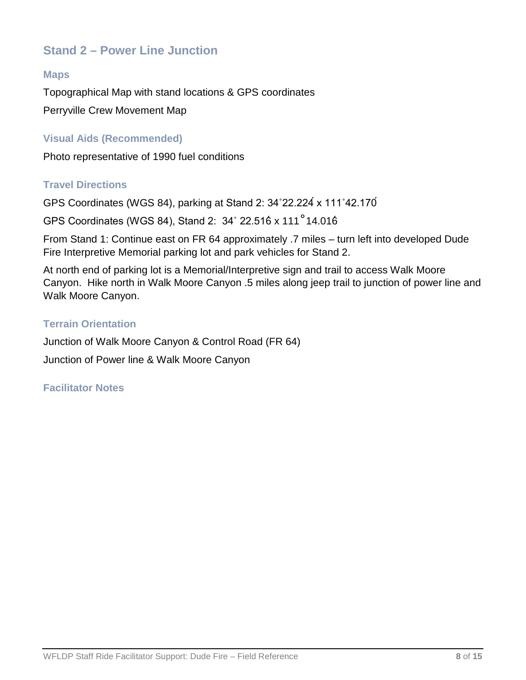# **Stand 2 – Power Line Junction**

#### **Maps**

Topographical Map with stand locations & GPS coordinates Perryville Crew Movement Map

#### **Visual Aids (Recommended)**

Photo representative of 1990 fuel conditions

#### **Travel Directions**

GPS Coordinates (WGS 84), parking at Stand 2: 34˚22.224́x 111˚42.170́

GPS Coordinates (WGS 84), Stand 2: 34˚ 22.516́x 111˚14.016́

From Stand 1: Continue east on FR 64 approximately .7 miles – turn left into developed Dude Fire Interpretive Memorial parking lot and park vehicles for Stand 2.

At north end of parking lot is a Memorial/Interpretive sign and trail to access Walk Moore Canyon. Hike north in Walk Moore Canyon .5 miles along jeep trail to junction of power line and Walk Moore Canyon.

#### **Terrain Orientation**

Junction of Walk Moore Canyon & Control Road (FR 64)

Junction of Power line & Walk Moore Canyon

#### **Facilitator Notes**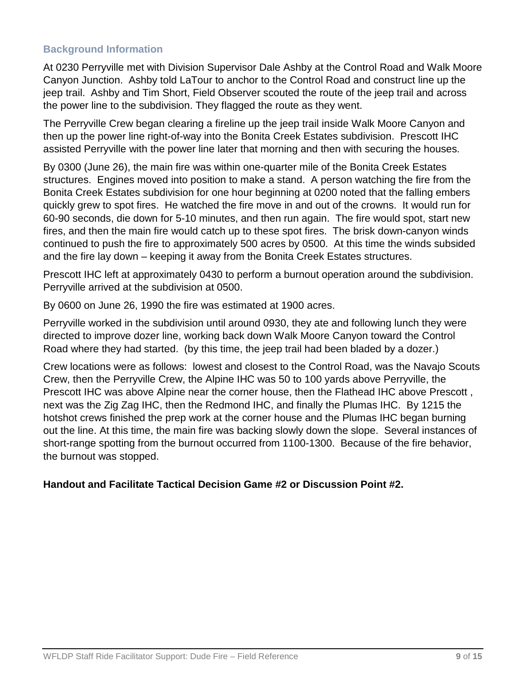## **Background Information**

At 0230 Perryville met with Division Supervisor Dale Ashby at the Control Road and Walk Moore Canyon Junction. Ashby told LaTour to anchor to the Control Road and construct line up the jeep trail. Ashby and Tim Short, Field Observer scouted the route of the jeep trail and across the power line to the subdivision. They flagged the route as they went.

The Perryville Crew began clearing a fireline up the jeep trail inside Walk Moore Canyon and then up the power line right-of-way into the Bonita Creek Estates subdivision. Prescott IHC assisted Perryville with the power line later that morning and then with securing the houses.

By 0300 (June 26), the main fire was within one-quarter mile of the Bonita Creek Estates structures. Engines moved into position to make a stand. A person watching the fire from the Bonita Creek Estates subdivision for one hour beginning at 0200 noted that the falling embers quickly grew to spot fires. He watched the fire move in and out of the crowns. It would run for 60-90 seconds, die down for 5-10 minutes, and then run again. The fire would spot, start new fires, and then the main fire would catch up to these spot fires. The brisk down-canyon winds continued to push the fire to approximately 500 acres by 0500. At this time the winds subsided and the fire lay down – keeping it away from the Bonita Creek Estates structures.

Prescott IHC left at approximately 0430 to perform a burnout operation around the subdivision. Perryville arrived at the subdivision at 0500.

By 0600 on June 26, 1990 the fire was estimated at 1900 acres.

Perryville worked in the subdivision until around 0930, they ate and following lunch they were directed to improve dozer line, working back down Walk Moore Canyon toward the Control Road where they had started. (by this time, the jeep trail had been bladed by a dozer.)

Crew locations were as follows: lowest and closest to the Control Road, was the Navajo Scouts Crew, then the Perryville Crew, the Alpine IHC was 50 to 100 yards above Perryville, the Prescott IHC was above Alpine near the corner house, then the Flathead IHC above Prescott , next was the Zig Zag IHC, then the Redmond IHC, and finally the Plumas IHC. By 1215 the hotshot crews finished the prep work at the corner house and the Plumas IHC began burning out the line. At this time, the main fire was backing slowly down the slope. Several instances of short-range spotting from the burnout occurred from 1100-1300. Because of the fire behavior, the burnout was stopped.

#### **Handout and Facilitate Tactical Decision Game #2 or Discussion Point #2.**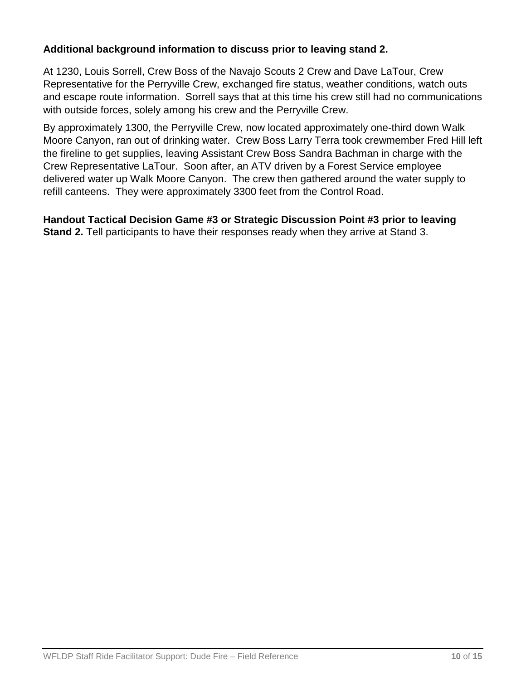# **Additional background information to discuss prior to leaving stand 2.**

At 1230, Louis Sorrell, Crew Boss of the Navajo Scouts 2 Crew and Dave LaTour, Crew Representative for the Perryville Crew, exchanged fire status, weather conditions, watch outs and escape route information. Sorrell says that at this time his crew still had no communications with outside forces, solely among his crew and the Perryville Crew.

By approximately 1300, the Perryville Crew, now located approximately one-third down Walk Moore Canyon, ran out of drinking water. Crew Boss Larry Terra took crewmember Fred Hill left the fireline to get supplies, leaving Assistant Crew Boss Sandra Bachman in charge with the Crew Representative LaTour. Soon after, an ATV driven by a Forest Service employee delivered water up Walk Moore Canyon. The crew then gathered around the water supply to refill canteens. They were approximately 3300 feet from the Control Road.

**Handout Tactical Decision Game #3 or Strategic Discussion Point #3 prior to leaving Stand 2.** Tell participants to have their responses ready when they arrive at Stand 3.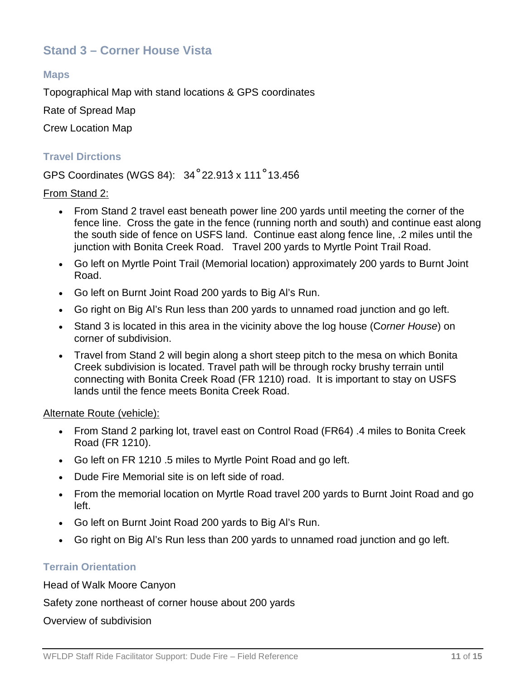# **Stand 3 – Corner House Vista**

#### **Maps**

Topographical Map with stand locations & GPS coordinates

Rate of Spread Map

Crew Location Map

#### **Travel Dirctions**

# GPS Coordinates (WGS 84): 34˚22.913́x 111˚13.456́

#### From Stand 2:

- From Stand 2 travel east beneath power line 200 yards until meeting the corner of the fence line. Cross the gate in the fence (running north and south) and continue east along the south side of fence on USFS land. Continue east along fence line, .2 miles until the junction with Bonita Creek Road. Travel 200 yards to Myrtle Point Trail Road.
- Go left on Myrtle Point Trail (Memorial location) approximately 200 yards to Burnt Joint Road.
- Go left on Burnt Joint Road 200 yards to Big Al's Run.
- Go right on Big Al's Run less than 200 yards to unnamed road junction and go left.
- Stand 3 is located in this area in the vicinity above the log house (C*orner House*) on corner of subdivision.
- Travel from Stand 2 will begin along a short steep pitch to the mesa on which Bonita Creek subdivision is located. Travel path will be through rocky brushy terrain until connecting with Bonita Creek Road (FR 1210) road. It is important to stay on USFS lands until the fence meets Bonita Creek Road.

#### Alternate Route (vehicle):

- From Stand 2 parking lot, travel east on Control Road (FR64) .4 miles to Bonita Creek Road (FR 1210).
- Go left on FR 1210 .5 miles to Myrtle Point Road and go left.
- Dude Fire Memorial site is on left side of road.
- From the memorial location on Myrtle Road travel 200 yards to Burnt Joint Road and go left.
- Go left on Burnt Joint Road 200 yards to Big Al's Run.
- Go right on Big Al's Run less than 200 yards to unnamed road junction and go left.

#### **Terrain Orientation**

Head of Walk Moore Canyon

## Safety zone northeast of corner house about 200 yards

Overview of subdivision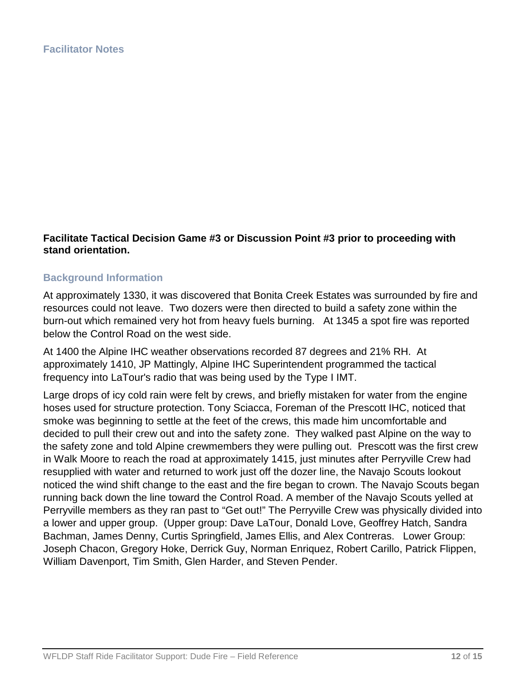#### **Facilitate Tactical Decision Game #3 or Discussion Point #3 prior to proceeding with stand orientation.**

#### **Background Information**

At approximately 1330, it was discovered that Bonita Creek Estates was surrounded by fire and resources could not leave. Two dozers were then directed to build a safety zone within the burn-out which remained very hot from heavy fuels burning. At 1345 a spot fire was reported below the Control Road on the west side.

At 1400 the Alpine IHC weather observations recorded 87 degrees and 21% RH. At approximately 1410, JP Mattingly, Alpine IHC Superintendent programmed the tactical frequency into LaTour's radio that was being used by the Type I IMT.

Large drops of icy cold rain were felt by crews, and briefly mistaken for water from the engine hoses used for structure protection. Tony Sciacca, Foreman of the Prescott IHC, noticed that smoke was beginning to settle at the feet of the crews, this made him uncomfortable and decided to pull their crew out and into the safety zone. They walked past Alpine on the way to the safety zone and told Alpine crewmembers they were pulling out. Prescott was the first crew in Walk Moore to reach the road at approximately 1415, just minutes after Perryville Crew had resupplied with water and returned to work just off the dozer line, the Navajo Scouts lookout noticed the wind shift change to the east and the fire began to crown. The Navajo Scouts began running back down the line toward the Control Road. A member of the Navajo Scouts yelled at Perryville members as they ran past to "Get out!" The Perryville Crew was physically divided into a lower and upper group. (Upper group: Dave LaTour, Donald Love, Geoffrey Hatch, Sandra Bachman, James Denny, Curtis Springfield, James Ellis, and Alex Contreras. Lower Group: Joseph Chacon, Gregory Hoke, Derrick Guy, Norman Enriquez, Robert Carillo, Patrick Flippen, William Davenport, Tim Smith, Glen Harder, and Steven Pender.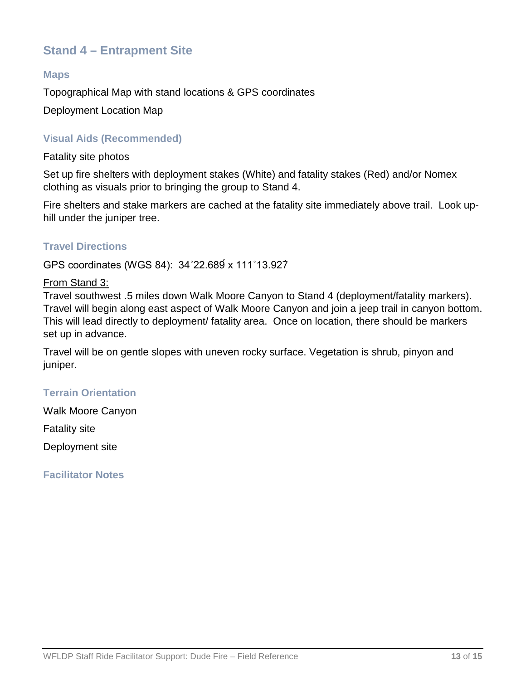# **Stand 4 – Entrapment Site**

#### **Maps**

Topographical Map with stand locations & GPS coordinates

Deployment Location Map

### **V**i**sual Aids (Recommended)**

Fatality site photos

Set up fire shelters with deployment stakes (White) and fatality stakes (Red) and/or Nomex clothing as visuals prior to bringing the group to Stand 4.

Fire shelters and stake markers are cached at the fatality site immediately above trail. Look uphill under the juniper tree.

#### **Travel Directions**

GPS coordinates (WGS 84): 34˚22.689́x 111˚13.927́

#### From Stand 3:

Travel southwest .5 miles down Walk Moore Canyon to Stand 4 (deployment/fatality markers). Travel will begin along east aspect of Walk Moore Canyon and join a jeep trail in canyon bottom. This will lead directly to deployment/ fatality area. Once on location, there should be markers set up in advance.

Travel will be on gentle slopes with uneven rocky surface. Vegetation is shrub, pinyon and juniper.

## **Terrain Orientation**

Walk Moore Canyon

Fatality site

Deployment site

**Facilitator Notes**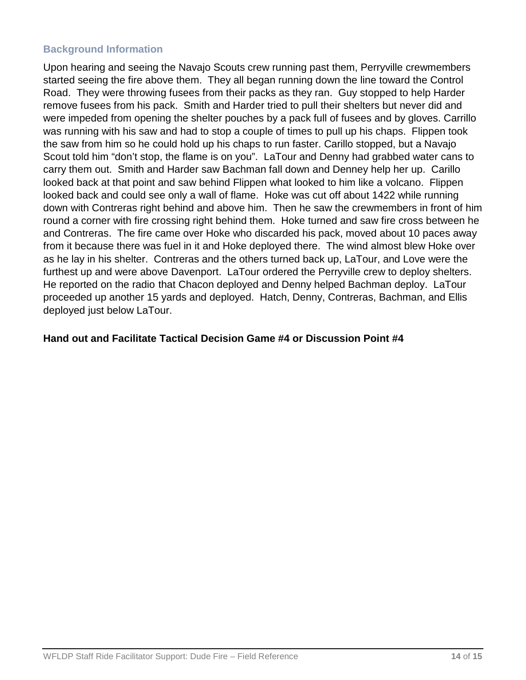### **Background Information**

Upon hearing and seeing the Navajo Scouts crew running past them, Perryville crewmembers started seeing the fire above them. They all began running down the line toward the Control Road. They were throwing fusees from their packs as they ran. Guy stopped to help Harder remove fusees from his pack. Smith and Harder tried to pull their shelters but never did and were impeded from opening the shelter pouches by a pack full of fusees and by gloves. Carrillo was running with his saw and had to stop a couple of times to pull up his chaps. Flippen took the saw from him so he could hold up his chaps to run faster. Carillo stopped, but a Navajo Scout told him "don't stop, the flame is on you". LaTour and Denny had grabbed water cans to carry them out. Smith and Harder saw Bachman fall down and Denney help her up. Carillo looked back at that point and saw behind Flippen what looked to him like a volcano. Flippen looked back and could see only a wall of flame. Hoke was cut off about 1422 while running down with Contreras right behind and above him. Then he saw the crewmembers in front of him round a corner with fire crossing right behind them. Hoke turned and saw fire cross between he and Contreras. The fire came over Hoke who discarded his pack, moved about 10 paces away from it because there was fuel in it and Hoke deployed there. The wind almost blew Hoke over as he lay in his shelter. Contreras and the others turned back up, LaTour, and Love were the furthest up and were above Davenport. LaTour ordered the Perryville crew to deploy shelters. He reported on the radio that Chacon deployed and Denny helped Bachman deploy. LaTour proceeded up another 15 yards and deployed. Hatch, Denny, Contreras, Bachman, and Ellis deployed just below LaTour.

#### **Hand out and Facilitate Tactical Decision Game #4 or Discussion Point #4**